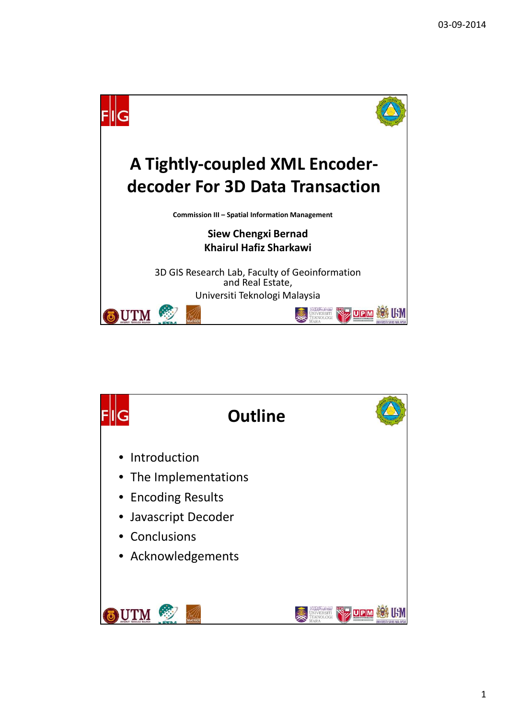

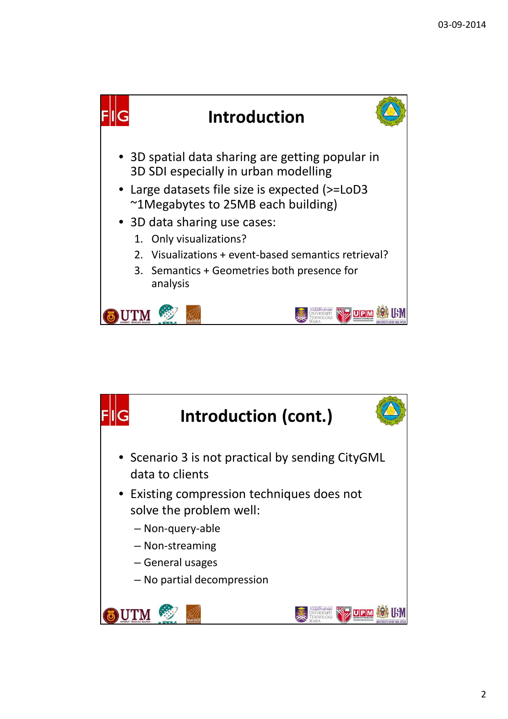

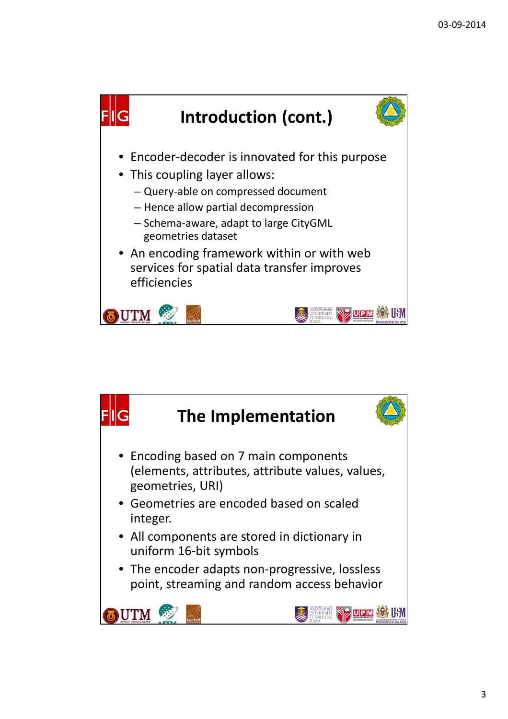

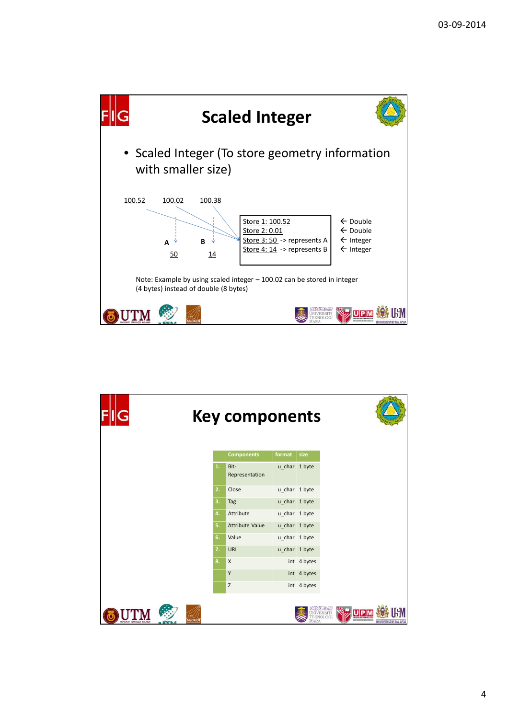

|                              |        |    | <b>Key components</b>  |               |               |                         |                           |
|------------------------------|--------|----|------------------------|---------------|---------------|-------------------------|---------------------------|
|                              |        |    | <b>Components</b>      | format        | size          |                         |                           |
|                              |        | 1. | Bit-<br>Representation | u_char 1 byte |               |                         |                           |
|                              |        | 2. | Close                  | u_char 1 byte |               |                         |                           |
|                              |        | 3. | Tag                    | u_char 1 byte |               |                         |                           |
|                              |        | 4. | Attribute              | u_char 1 byte |               |                         |                           |
|                              |        | 5. | Attribute Value        |               | u_char 1 byte |                         |                           |
|                              |        | 6. | Value                  |               | u_char 1 byte |                         |                           |
|                              |        | 7. | URI                    |               | u_char 1 byte |                         |                           |
|                              |        | 8. | X                      |               | int 4 bytes   |                         |                           |
|                              |        |    | Υ                      |               | int 4 bytes   |                         |                           |
|                              |        |    | $\mathsf Z$            |               | int 4 bytes   |                         |                           |
| INIVERSITI TEKNOLOGI MALAYSI | MaCGDI |    |                        |               |               | OLOGI<br>************** | UNIVERSITI SAINS MALAYSIA |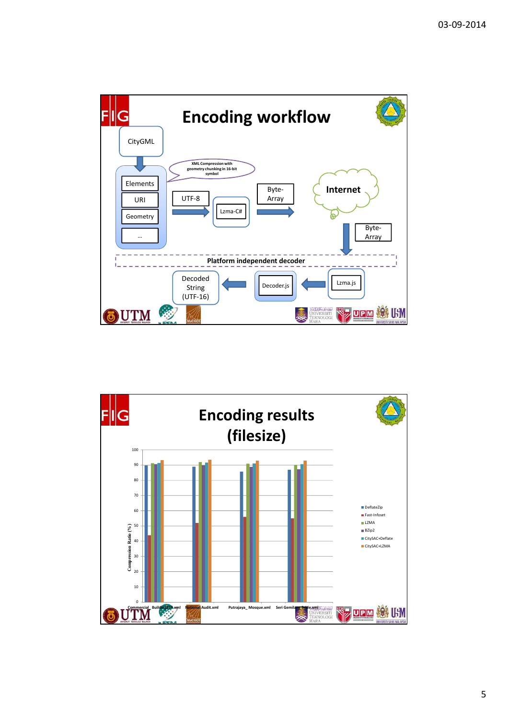

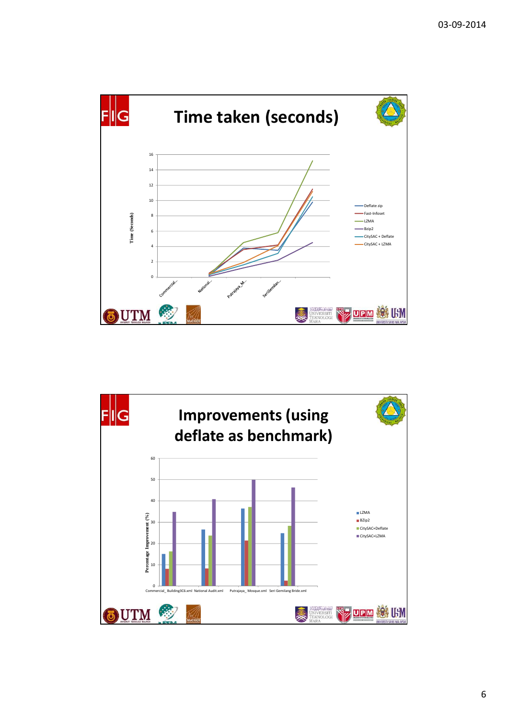

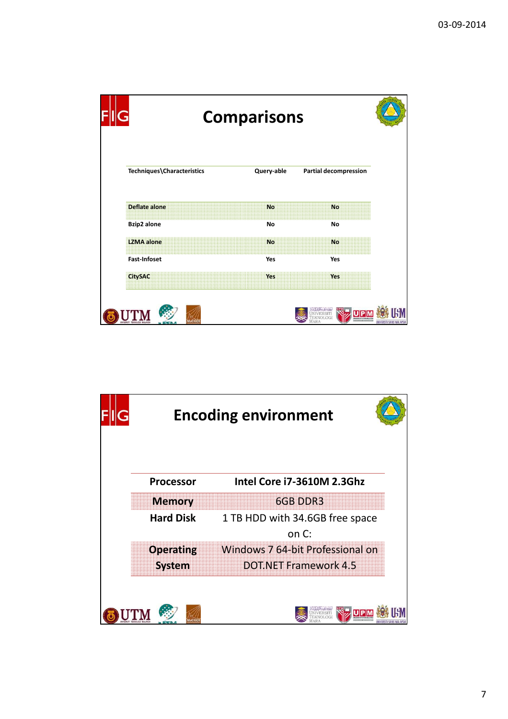|                            | <b>Comparisons</b> |                              |  |  |  |  |
|----------------------------|--------------------|------------------------------|--|--|--|--|
| Techniques\Characteristics | Query-able         | <b>Partial decompression</b> |  |  |  |  |
| <b>Deflate alone</b>       | <b>No</b>          | <b>No</b>                    |  |  |  |  |
| <b>Bzip2</b> alone         | No                 | No                           |  |  |  |  |
| <b>LZMA</b> alone          | <b>No</b>          | <b>No</b>                    |  |  |  |  |
| <b>Fast-Infoset</b>        | Yes                | Yes                          |  |  |  |  |
|                            |                    | Yes                          |  |  |  |  |

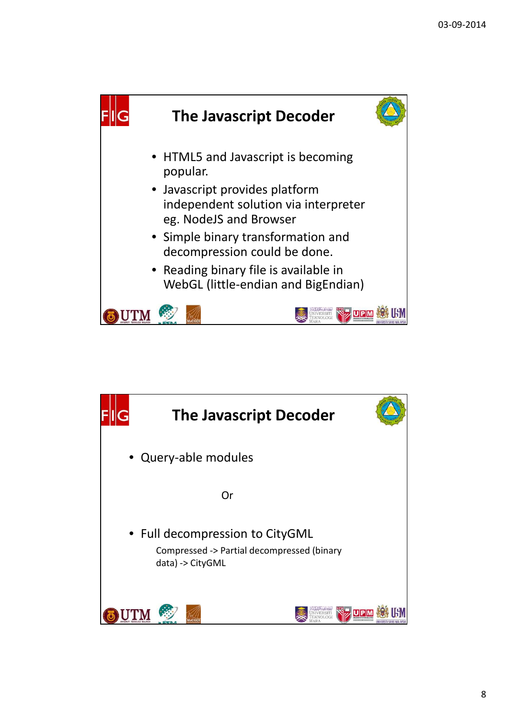

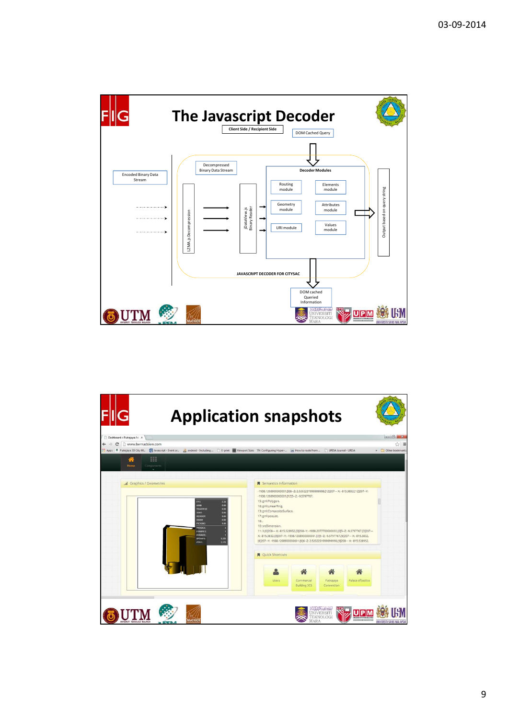

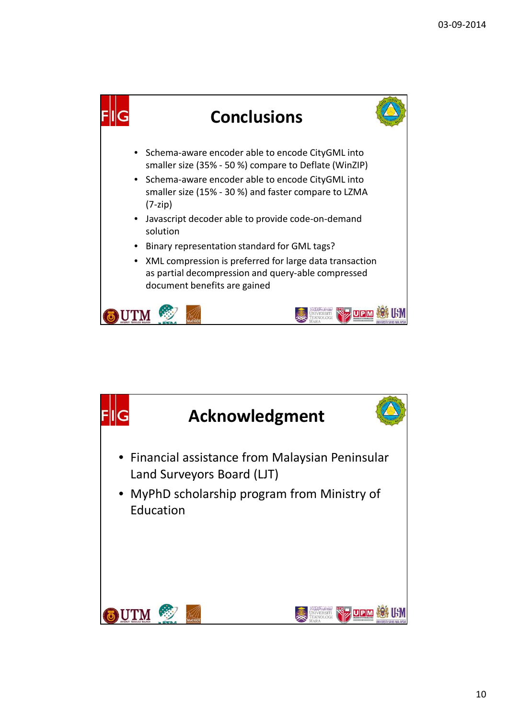